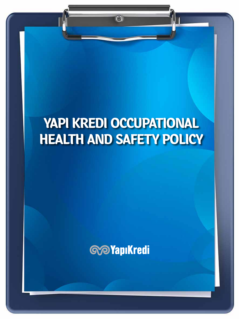# **YAPI KREDI OCCUPATIONAL HEALTH AND SAFETY POLICY**

 $\odot$ 



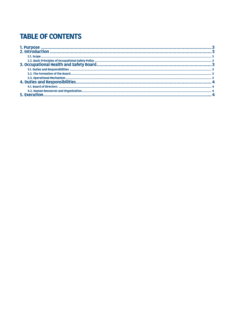# **TABLE OF CONTENTS**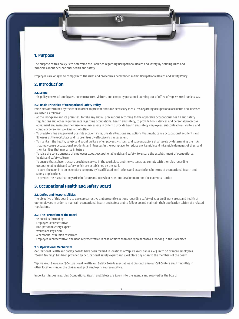**3**

# **1. Purpose**

The purpose of this policy is to determine the liabilities regarding Occupational Health and Safety by defining rules and principles about occupational health and safety.

Employees are obliged to comply with the rules and procedures determined within Occupational Health and Safety Policy.

## **2. Introduction**

#### **2.1. Scope**

This policy covers all employees, subcontractors, visitors, and company personnel working out of office of Yapı ve Kredi Bankası A.Ş.

#### **2.2. Basic Principles of Occupational Safety Policy**

Principles determined by the Bank in order to prevent and take necessary measures regarding occupational accidents and illnesses are listed as follows:

- At the workplace and its premises, to take any and all precautions according to the applicable occupational health and safety regulations and other requirements regarding occupational health and safety, to provide tools, devices and personal protective equipment and maintain their use when necessary in order to provide health and safety employees, subcontractors, visitors and company personnel working out of office
- To predetermine and prevent possible accident risks, unsafe situations and actions that might cause occupational accidents and illnesses at the workplace and its premises by effective risk assessment
- To maintain the health, safety and social welfare of employees, visitors, and subcontractors at all levels by determining the risks that may cause occupational accidents and illnesses in the workplace, to reduce any tangible and intangible damages of them and their families that may arise in future
- To raise the consciousness of employees about occupational health and safety, to ensure the establishment of occupational health and safety culture.
- To ensure that subcontractors providing service in the workplace and the visitors shall comply with the rules regarding occupational health and safety which are established by the Bank
- To turn the Bank into an exemplary company by its affiliated institutions and associations in terms of occupational health and safety applications
- To predict the risks that may arise in future and to review constant development and the current situation

## **3. Occupational Health and Safety Board**

#### **3.1. Duties and Responsibilities**

The objective of this board is to develop corrective and preventive actions regarding safety of Yapı Kredi Work areas and health of our employees in order to maintain occupational health and safety and to follow up and maintain their application within the related regulations.

#### **3.2. The Formation of the Board**

The board is formed by:

- Employer Representative
- Occupational Safety Expert
- Workplace Physician
- A personnel of human resources
- Employee representative, the head representative in case of more than one representatives working in the workplace.

#### **3.3. Operational Mechanism**

Occupational Health and Safety Boards have been formed in locations of Yapı ve Kredi Bankası A.Ş. with 50 or more employees. "Board Training" has been provided by occupational safety expert and workplace physician to the members of the board

Yapı ve Kredi Bankası A. Ş Occupational Health and Safety Boards meet at least bimonthly in our Call Centers and trimonthly in other locations under the chairmanship of employer's representative.

Important issues regarding Occupational Health and Safety are taken into the agenda and resolved by the board.